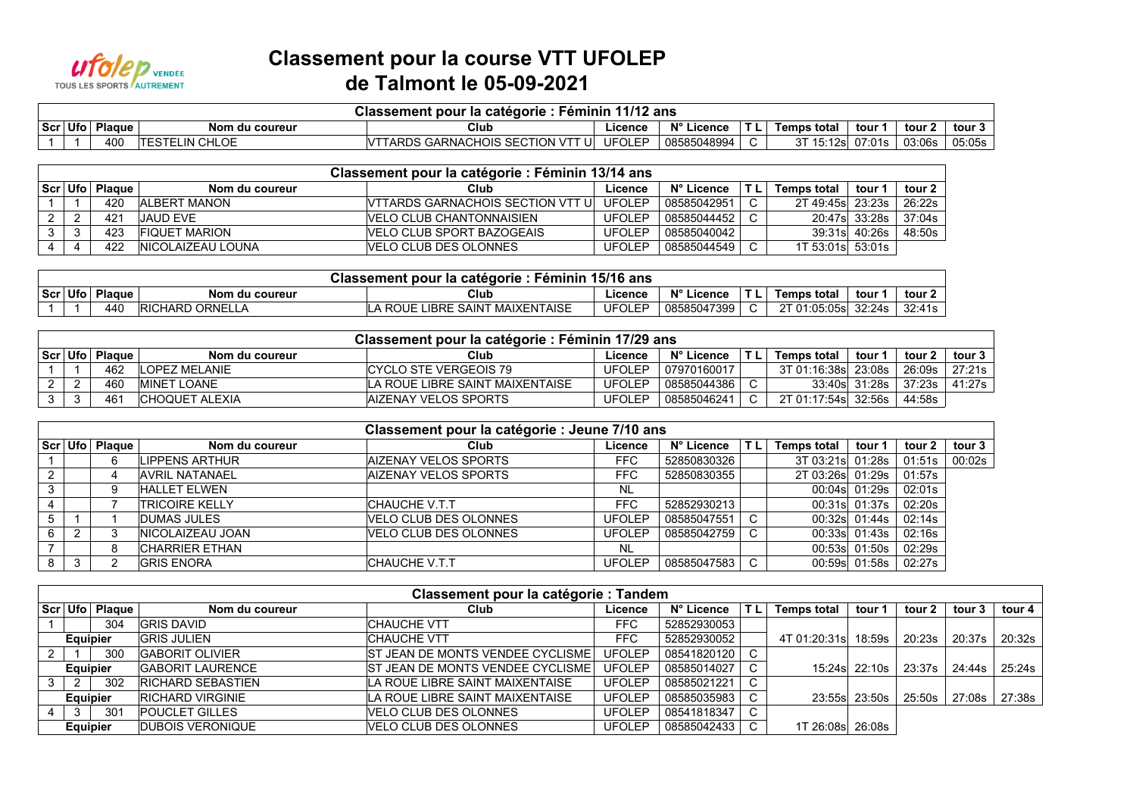

## **Classement pour la course VTT UFOLEP de Talmont le 05-09-2021**

|         | : Féminin 11/12 ans<br>Classement pour la catégorie : |                 |                        |                                       |         |             |         |                    |        |        |        |  |  |
|---------|-------------------------------------------------------|-----------------|------------------------|---------------------------------------|---------|-------------|---------|--------------------|--------|--------|--------|--|--|
| Scr Ufo |                                                       | Plague          | Nom du coureur         | Club                                  | ∟icence | N° Licence  | ΤL      | <b>Temps total</b> | tour ' | tour   | tour 3 |  |  |
|         |                                                       | 40 <sub>C</sub> | TELIN CHLOE<br>ITESTEI | 'TARDS GARNACHOIS SECTION VTT I<br>IJ | UFOLEP  | 08585048994 | $\cdot$ | ั 15:12sl          | 07:01s | 03:06s | 05:05s |  |  |

| Classement pour la catégorie : Féminin 13/14 ans |        |                           |                                    |               |             |  |                    |               |                    |  |  |  |
|--------------------------------------------------|--------|---------------------------|------------------------------------|---------------|-------------|--|--------------------|---------------|--------------------|--|--|--|
| Scr Ufo                                          | Plaque | Nom du coureur            | Club                               | Licence       | N° Licence  |  | <b>Temps total</b> | tour          | tour 2 l           |  |  |  |
|                                                  | 420    | <b>ALBERT MANON</b>       | IVTTARDS GARNACHOIS SECTION VTT UL | UFOLEP        | 08585042951 |  | 2T 49:45s 23:23s   |               | $^{\prime}$ 26:22s |  |  |  |
|                                                  | 421    | <b>JAUD EVE</b>           | IVELO CLUB CHANTONNAISIEN          | <b>UFOLEP</b> | 08585044452 |  |                    | 20:47s 33:28s | 37:04s             |  |  |  |
| 3                                                | 423    | FIQUET MARION             | IVELO CLUB SPORT BAZOGEAIS         | <b>UFOLEP</b> | 08585040042 |  |                    | 39:31s 40:26s | 48:50s             |  |  |  |
|                                                  | 422    | <b>INICOLAIZEAU LOUNA</b> | VELO CLUB DES OLONNES              | <b>UFOLEP</b> | 08585044549 |  | 1T 53:01s 53:01s   |               |                    |  |  |  |

| ، 15/16<br>Classement pour la categorie ·<br>. éminin<br>, ans |               |                               |                                       |               |                                    |  |                                       |        |        |  |  |  |  |
|----------------------------------------------------------------|---------------|-------------------------------|---------------------------------------|---------------|------------------------------------|--|---------------------------------------|--------|--------|--|--|--|--|
| Scr Ufo                                                        | <b>Plague</b> | Nom du coureur                | Club                                  | Licenc∈       | $N^{\circ}$ $L^{\circ}$<br>Licence |  | Temps total                           | tour   | tour 2 |  |  |  |  |
|                                                                | 440           | <b>`HARD ORNELL,</b><br>IRICI | MAIXENTAISE<br>_IBRE<br>SAINT<br>ROUE | <b>UFOLEP</b> | 08585047399                        |  | 2T 01:05:05si<br>v<br>$\cdots$ uu.uu. | 32:24s | 32:41s |  |  |  |  |

| Classement pour la catégorie : Féminin 17/29 ans |        |                       |                                 |               |             |        |                     |               |          |          |  |  |
|--------------------------------------------------|--------|-----------------------|---------------------------------|---------------|-------------|--------|---------------------|---------------|----------|----------|--|--|
| $ Scr $ Ufo $ $                                  | Plague | Nom du coureur        | Club                            | Licence       | N° Licence  |        | <b>Temps total</b>  | tour '        | tour 2   | tour 3 l |  |  |
|                                                  | 462    | LOPEZ MELANIE         | ICYCLO STE VERGEOIS 79          | UFOLEP        | 07970160017 |        | 3T 01:16:38s 23:08s |               | 26:09s   | 27:21s   |  |  |
|                                                  | 460    | <b>IMINET LOANE</b>   | LA ROUE LIBRE SAINT MAIXENTAISE | <b>UFOLEP</b> | 08585044386 |        |                     | 33:40s 31:28s | 37:23s l | 41:27s l |  |  |
| $\sim$                                           | 461    | <b>CHOQUET ALEXIA</b> | <b>AIZENAY VELOS SPORTS</b>     | UFOLEP        | 08585046241 | $\sim$ | 2T 01:17:54s 32:56s |               | 44:58s   |          |  |  |

|   | Classement pour la catégorie : Jeune 7/10 ans |        |                          |                             |               |             |           |                    |                 |        |        |  |  |
|---|-----------------------------------------------|--------|--------------------------|-----------------------------|---------------|-------------|-----------|--------------------|-----------------|--------|--------|--|--|
|   | Scr Ufo                                       | Plaque | Nom du coureur           | Club                        | Licence       | N° Licence  | <b>TL</b> | <b>Temps total</b> | tour 1          | tour 2 | tour 3 |  |  |
|   |                                               | 6      | LIPPENS ARTHUR           | <b>AIZENAY VELOS SPORTS</b> | FFC.          | 52850830326 |           | 3T 03:21s 01:28s   |                 | 01:51s | 00:02s |  |  |
| 2 |                                               |        | <b>AVRIL NATANAEL</b>    | <b>AIZENAY VELOS SPORTS</b> | FFC.          | 52850830355 |           | 2T 03:26s 01:29s   |                 | 01:57s |        |  |  |
| 3 |                                               | 9      | <b>HALLET ELWEN</b>      |                             | <b>NL</b>     |             |           |                    | 00:04s 01:29s   | 02:01s |        |  |  |
|   |                                               |        | <b>TRICOIRE KELLY</b>    | ICHAUCHE V.T.T              | FFC.          | 52852930213 |           |                    | 00:31s 01:37s   | 02:20s |        |  |  |
|   |                                               |        | <b>DUMAS JULES</b>       | VELO CLUB DES OLONNES       | <b>UFOLEP</b> | 08585047551 | C         |                    | 00:32s 01:44s   | 02:14s |        |  |  |
| 6 |                                               | 3      | <b>INICOLAIZEAU JOAN</b> | VELO CLUB DES OLONNES       | <b>UFOLEP</b> | 08585042759 |           |                    | $00:33s$ 01:43s | 02:16s |        |  |  |
|   |                                               | 8      | <b>CHARRIER ETHAN</b>    |                             | NL            |             |           |                    | 00:53s 01:50s   | 02:29s |        |  |  |
| 8 | 3                                             | ◠      | <b>GRIS ENORA</b>        | <b>CHAUCHE V.T.T</b>        | <b>UFOLEP</b> | 08585047583 | C.        |                    | 00:59s 01:58s   | 02:27s |        |  |  |

|   | Classement pour la catégorie : Tandem |                    |                          |                                         |               |             |    |                    |                  |        |        |        |  |  |
|---|---------------------------------------|--------------------|--------------------------|-----------------------------------------|---------------|-------------|----|--------------------|------------------|--------|--------|--------|--|--|
|   |                                       | ∣Scr⊺Ufo⊺ Plaque I | Nom du coureur           | Club                                    | Licence       | N° Licence  | ΤL | <b>Temps total</b> | tour 1           | tour 2 | tour 3 | tour 4 |  |  |
|   |                                       | 304                | <b>GRIS DAVID</b>        | <b>CHAUCHE VTT</b>                      | <b>FFC</b>    | 52852930053 |    |                    |                  |        |        |        |  |  |
|   | <b>Equipier</b>                       |                    | <b>GRIS JULIEN</b>       | <b>CHAUCHE VTT</b>                      | <b>FFC</b>    | 52852930052 |    | 4T 01:20:31sl      | 18:59s           | 20:23s | 20:37s | 20:32s |  |  |
|   |                                       | 30C                | <b>GABORIT OLIVIER</b>   | <b>ST JEAN DE MONTS VENDEE CYCLISME</b> | <b>UFOLEP</b> | 08541820120 | C  |                    |                  |        |        |        |  |  |
|   | <b>Equipier</b>                       |                    | <b>GABORIT LAURENCE</b>  | <b>ST JEAN DE MONTS VENDEE CYCLISME</b> | <b>UFOLEP</b> | 08585014027 |    |                    | 15:24sl 22:10s l | 23:37s | 24:44s | 25:24s |  |  |
| 3 | 2                                     | 302                | <b>RICHARD SEBASTIEN</b> | LA ROUE LIBRE SAINT MAIXENTAISE         | <b>UFOLEP</b> | 08585021221 | C  |                    |                  |        |        |        |  |  |
|   | <b>Equipier</b>                       |                    | <b>RICHARD VIRGINIE</b>  | LA ROUE LIBRE SAINT MAIXENTAISE         | <b>UFOLEP</b> | 08585035983 |    |                    | 23:55s 23:50s    | 25:50s | 27:08s | 27:38s |  |  |
|   | 3                                     | 30 <sup>2</sup>    | <b>POUCLET GILLES</b>    | VELO CLUB DES OLONNES                   | <b>UFOLEP</b> | 08541818347 | C  |                    |                  |        |        |        |  |  |
|   | <b>Equipier</b>                       |                    | <b>DUBOIS VERONIQUE</b>  | VELO CLUB DES OLONNES                   | <b>UFOLEP</b> | 08585042433 | C  | 1T 26:08s 26:08s   |                  |        |        |        |  |  |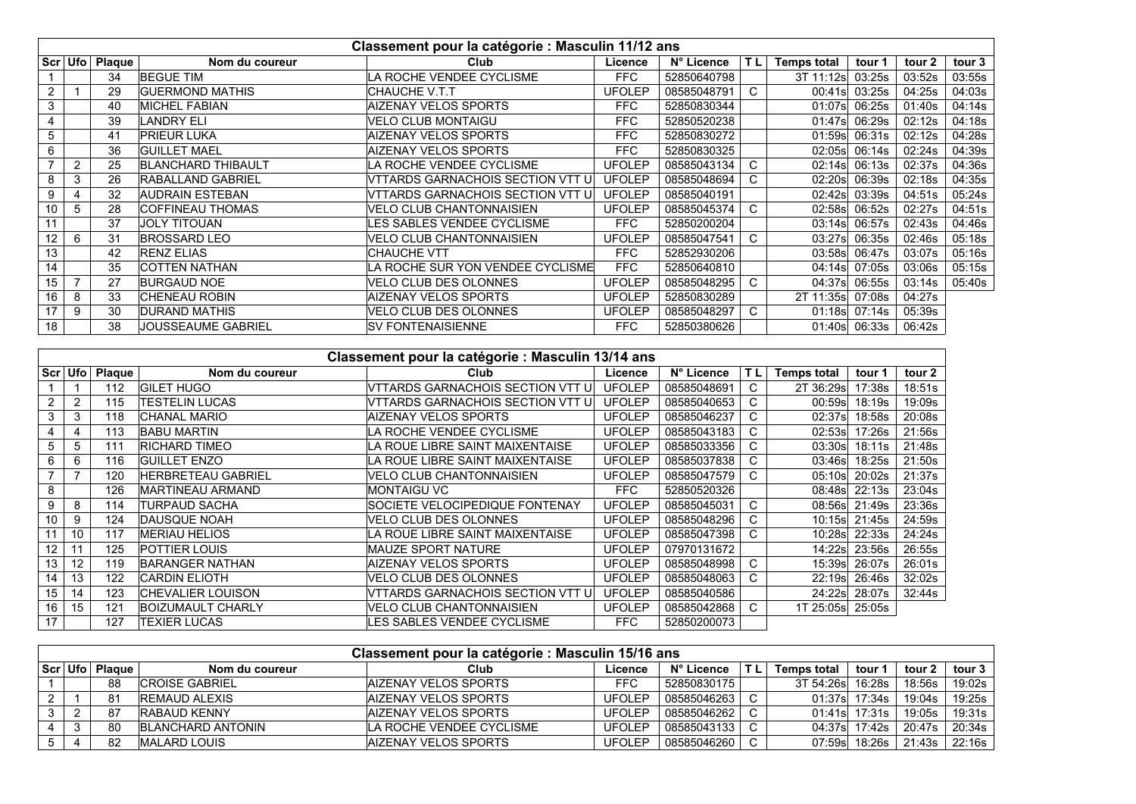|    | Classement pour la catégorie : Masculin 11/12 ans |               |                           |                                  |               |             |     |                    |        |        |        |  |  |
|----|---------------------------------------------------|---------------|---------------------------|----------------------------------|---------------|-------------|-----|--------------------|--------|--------|--------|--|--|
|    | Scr Ufo                                           | <b>Plaque</b> | Nom du coureur            | Club                             | Licence       | N° Licence  | T L | <b>Temps total</b> | tour 1 | tour 2 | tour 3 |  |  |
|    |                                                   | 34            | <b>BEGUE TIM</b>          | LA ROCHE VENDEE CYCLISME         | <b>FFC</b>    | 52850640798 |     | 3T 11:12sl         | 03:25s | 03:52s | 03:55s |  |  |
| 2  |                                                   | 29            | <b>GUERMOND MATHIS</b>    | ICHAUCHE V.T.T                   | <b>UFOLEP</b> | 08585048791 | C.  | 00:41s             | 03:25s | 04:25s | 04:03s |  |  |
| 3  |                                                   | 40            | <b>MICHEL FABIAN</b>      | AIZENAY VELOS SPORTS             | <b>FFC</b>    | 52850830344 |     | 01:07sl            | 06:25s | 01:40s | 04:14s |  |  |
|    |                                                   | 39            | LANDRY ELI                | <b>VELO CLUB MONTAIGU</b>        | <b>FFC</b>    | 52850520238 |     | 01:47s             | 06:29s | 02:12s | 04:18s |  |  |
| 5  |                                                   | 41            | PRIEUR LUKA               | AIZENAY VELOS SPORTS             | <b>FFC</b>    | 52850830272 |     | 01:59s             | 06:31s | 02:12s | 04:28s |  |  |
| 6  |                                                   | 36            | <b>GUILLET MAEL</b>       | AIZENAY VELOS SPORTS             | <b>FFC</b>    | 52850830325 |     | 02:05s             | 06:14s | 02:24s | 04:39s |  |  |
|    | 2                                                 | 25            | <b>BLANCHARD THIBAULT</b> | LA ROCHE VENDEE CYCLISME         | <b>UFOLEP</b> | 08585043134 | C.  | 02:14s             | 06:13s | 02:37s | 04:36s |  |  |
| 8  | 3                                                 | 26            | <b>RABALLAND GABRIEL</b>  | VTTARDS GARNACHOIS SECTION VTT U | <b>UFOLEP</b> | 08585048694 | C.  | 02:20s             | 06:39s | 02:18s | 04:35s |  |  |
| 9  |                                                   | 32            | AUDRAIN ESTEBAN           | VTTARDS GARNACHOIS SECTION VTT U | <b>UFOLEP</b> | 08585040191 |     | 02:42s             | 03:39s | 04:51s | 05:24s |  |  |
| 10 | 5                                                 | 28            | <b>COFFINEAU THOMAS</b>   | <b>VELO CLUB CHANTONNAISIEN</b>  | <b>UFOLEP</b> | 08585045374 | C.  | 02:58s             | 06:52s | 02:27s | 04:51s |  |  |
| 11 |                                                   | 37            | <b>JOLY TITOUAN</b>       | LES SABLES VENDEE CYCLISME       | <b>FFC</b>    | 52850200204 |     | 03:14s             | 06:57s | 02:43s | 04:46s |  |  |
| 12 | 6                                                 | 31            | <b>BROSSARD LEO</b>       | VELO CLUB CHANTONNAISIEN         | <b>UFOLEP</b> | 08585047541 | C.  | 03:27s             | 06:35s | 02:46s | 05:18s |  |  |
| 13 |                                                   | 42            | <b>RENZ ELIAS</b>         | ICHAUCHE VTT                     | <b>FFC</b>    | 52852930206 |     | 03:58s             | 06:47s | 03:07s | 05:16s |  |  |
| 14 |                                                   | 35            | <b>COTTEN NATHAN</b>      | LA ROCHE SUR YON VENDEE CYCLISME | <b>FFC</b>    | 52850640810 |     | 04:14s             | 07:05s | 03:06s | 05:15s |  |  |
| 15 |                                                   | 27            | <b>BURGAUD NOE</b>        | VELO CLUB DES OLONNES            | <b>UFOLEP</b> | 08585048295 | C.  | 04:37s             | 06:55s | 03:14s | 05:40s |  |  |
| 16 | 8                                                 | 33            | <b>CHENEAU ROBIN</b>      | AIZENAY VELOS SPORTS             | <b>UFOLEP</b> | 52850830289 |     | 2T 11:35sl         | 07:08s | 04:27s |        |  |  |
| 17 | 9                                                 | 30            | <b>DURAND MATHIS</b>      | VELO CLUB DES OLONNES            | <b>UFOLEP</b> | 08585048297 | C.  | 01:18s             | 07:14s | 05:39s |        |  |  |
| 18 |                                                   | 38            | <b>JOUSSEAUME GABRIEL</b> | <b>SV FONTENAISIENNE</b>         | <b>FFC</b>    | 52850380626 |     | 01:40s             | 06:33s | 06:42s |        |  |  |

|                | Classement pour la catégorie : Masculin 13/14 ans |               |                           |                                   |               |             |     |                    |        |        |  |  |  |
|----------------|---------------------------------------------------|---------------|---------------------------|-----------------------------------|---------------|-------------|-----|--------------------|--------|--------|--|--|--|
| Scr            | <b>Ufo</b>                                        | <b>Plaque</b> | Nom du coureur            | Club                              | Licence       | N° Licence  | TL. | <b>Temps total</b> | tour 1 | tour 2 |  |  |  |
|                |                                                   | 112           | <b>IGILET HUGO</b>        | VTTARDS GARNACHOIS SECTION VTT UI | <b>UFOLEP</b> | 08585048691 | C.  | 2T 36:29s          | 17:38s | 18:51s |  |  |  |
| $\overline{2}$ | $\overline{2}$                                    | 115           | TESTELIN LUCAS            | VTTARDS GARNACHOIS SECTION VTT U  | <b>UFOLEP</b> | 08585040653 | C.  | 00:59s             | 18:19s | 19:09s |  |  |  |
| 3              | 3                                                 | 118           | CHANAL MARIO              | AIZENAY VELOS SPORTS              | <b>UFOLEP</b> | 08585046237 | C.  | 02:37s             | 18:58s | 20:08s |  |  |  |
| 4              | 4                                                 | 113           | <b>BABU MARTIN</b>        | LA ROCHE VENDEE CYCLISME          | <b>UFOLEP</b> | 08585043183 | C.  | 02:53s             | 17:26s | 21:56s |  |  |  |
| 5              | 5                                                 | 111           | <b>RICHARD TIMEO</b>      | LA ROUE LIBRE SAINT MAIXENTAISE   | <b>UFOLEP</b> | 08585033356 | C.  | 03:30s             | 18:11s | 21:48s |  |  |  |
| 6              | 6                                                 | 116           | <b>GUILLET ENZO</b>       | LA ROUE LIBRE SAINT MAIXENTAISE   | <b>UFOLEP</b> | 08585037838 | C.  | 03:46s             | 18:25s | 21:50s |  |  |  |
|                |                                                   | 120           | <b>HERBRETEAU GABRIEL</b> | <b>VELO CLUB CHANTONNAISIEN</b>   | <b>UFOLEP</b> | 08585047579 | C.  | 05:10s             | 20:02s | 21:37s |  |  |  |
| 8              |                                                   | 126           | MARTINEAU ARMAND          | MONTAIGU VC                       | <b>FFC</b>    | 52850520326 |     | 08:48s             | 22:13s | 23:04s |  |  |  |
| 9              | 8                                                 | 114           | <b>TURPAUD SACHA</b>      | SOCIETE VELOCIPEDIQUE FONTENAY    | <b>UFOLEP</b> | 08585045031 | C.  | 08:56s             | 21:49s | 23:36s |  |  |  |
| 10             | 9                                                 | 124           | DAUSQUE NOAH              | <b>VELO CLUB DES OLONNES</b>      | <b>UFOLEP</b> | 08585048296 | C.  | 10:15s             | 21:45s | 24:59s |  |  |  |
| 11             | 10                                                | 117           | <b>MERIAU HELIOS</b>      | LA ROUE LIBRE SAINT MAIXENTAISE   | <b>UFOLEP</b> | 08585047398 | C.  | $10:28$ s          | 22:33s | 24:24s |  |  |  |
| 12             | 11                                                | 125           | POTTIER LOUIS             | <b>MAUZE SPORT NATURE</b>         | <b>UFOLEP</b> | 07970131672 |     | 14:22s             | 23:56s | 26:55s |  |  |  |
| 13             | 12                                                | 119           | <b>BARANGER NATHAN</b>    | AIZENAY VELOS SPORTS              | <b>UFOLEP</b> | 08585048998 | C.  | 15:39sl            | 26:07s | 26:01s |  |  |  |
| 14             | 13                                                | 122           | <b>CARDIN ELIOTH</b>      | VELO CLUB DES OLONNES             | <b>UFOLEP</b> | 08585048063 | C.  | 22:19s             | 26:46s | 32:02s |  |  |  |
| 15             | 14                                                | 123           | <b>CHEVALIER LOUISON</b>  | VTTARDS GARNACHOIS SECTION VTT U  | <b>UFOLEP</b> | 08585040586 |     | 24:22s             | 28:07s | 32:44s |  |  |  |
| 16             | 15                                                | 121           | <b>BOIZUMAULT CHARLY</b>  | <b>VELO CLUB CHANTONNAISIEN</b>   | <b>UFOLEP</b> | 08585042868 | C.  | 1T 25:05s 25:05s   |        |        |  |  |  |
| 17             |                                                   | 127           | TEXIER LUCAS              | LES SABLES VENDEE CYCLISME        | <b>FFC</b>    | 52850200073 |     |                    |        |        |  |  |  |

|   | Classement pour la catégorie : Masculin 15/16 ans |        |                          |                          |               |             |      |                   |                |        |        |  |  |
|---|---------------------------------------------------|--------|--------------------------|--------------------------|---------------|-------------|------|-------------------|----------------|--------|--------|--|--|
|   | ScriUfol                                          | Plaque | Nom du coureur           | Club                     | ∟icence       | N° Licence  | 'TL. | Temps total       | tour 1         | tour 2 | tour 3 |  |  |
|   |                                                   | 88     | <b>CROISE GABRIEL</b>    | AIZENAY VELOS SPORTS     | <b>FFC</b>    | 52850830175 |      | 3T 54:26s  16:28s |                | 18:56s | 19:02s |  |  |
|   |                                                   | 81     | <b>IREMAUD ALEXIS</b>    | AIZENAY VELOS SPORTS     | UFOLEP        | 08585046263 |      |                   | 01:37s 17:34s  | 19:04s | 19:25s |  |  |
|   |                                                   | 87     | <b>RABAUD KENNY</b>      | AIZENAY VELOS SPORTS     | UFOLEP        | 08585046262 |      |                   | 01:41s  17:31s | 19:05s | 19:31s |  |  |
| 4 | ົ                                                 | 80     | <b>BLANCHARD ANTONIN</b> | LA ROCHE VENDEE CYCLISME | <b>UFOLEP</b> | 08585043133 |      |                   | 04:37s 17:42s  | 20:47s | 20:34s |  |  |
|   |                                                   | 82     | <b>IMALARD LOUIS</b>     | AIZENAY VELOS SPORTS     | UFOLEP        | 08585046260 |      |                   | 07:59s 18:26s  | 21:43s | 22:16s |  |  |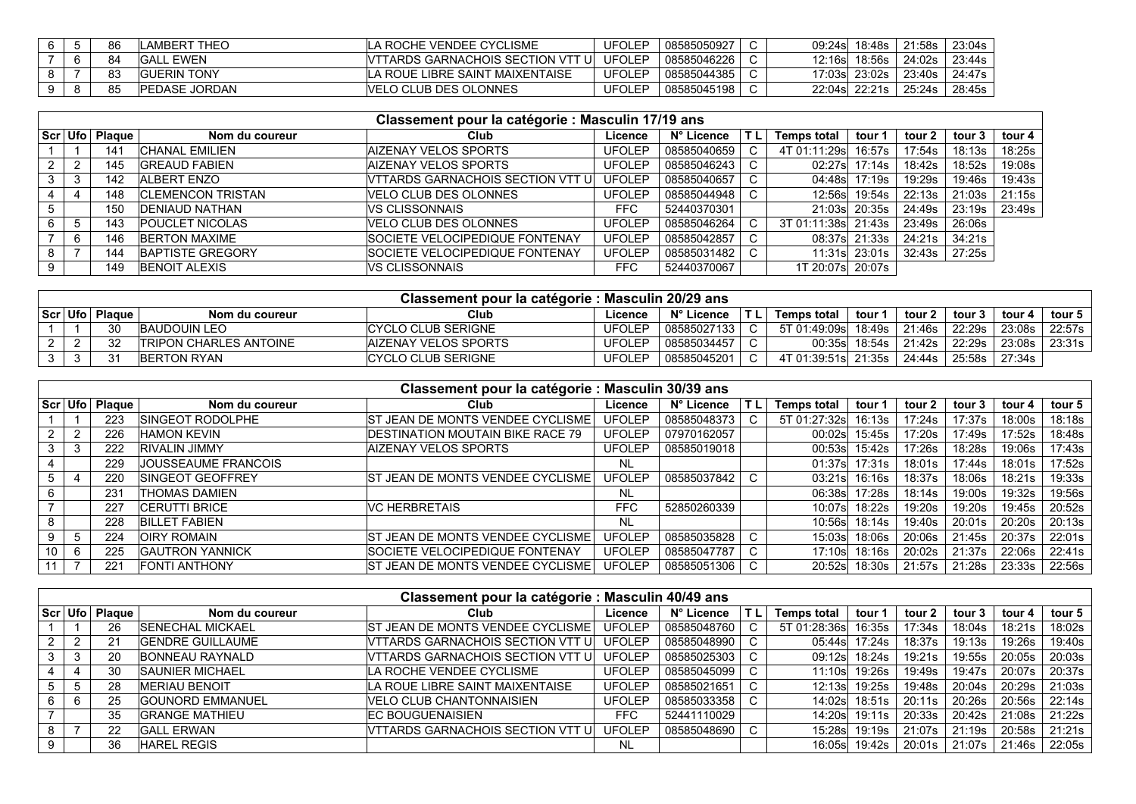| 6. | 86 | LAMBERT THEO         | ILA ROCHE VENDEE CYCLISME                 | UFOLEP        | 08585050927 |  |               | 21:58s I | 23:04s                      |
|----|----|----------------------|-------------------------------------------|---------------|-------------|--|---------------|----------|-----------------------------|
|    | 84 | <b>GALL EWEN</b>     | <b>IVTTARDS GARNACHOIS SECTION VTT UI</b> | <b>UFOLEP</b> | 08585046226 |  | 12:16s 18:56s |          | 24:02s   23:44s             |
|    | 83 | <b>IGUERIN TONY</b>  | LA ROUE LIBRE SAINT MAIXENTAISE           | UFOLEP        | 08585044385 |  |               |          | 17:03s 23:02s 23:40s 24:47s |
|    | 85 | <b>PEDASE JORDAN</b> | VELO CLUB DES OLONNES                     | JFOLEP        | 08585045198 |  | 22:04s 22:21s | 25:24s l | 28:45s                      |

|   | Classement pour la catégorie : Masculin 17/19 ans |                    |                           |                                   |               |             |     |                    |        |        |        |          |  |  |
|---|---------------------------------------------------|--------------------|---------------------------|-----------------------------------|---------------|-------------|-----|--------------------|--------|--------|--------|----------|--|--|
|   |                                                   | ∣Scr⊺Ufo⊺ Plaque ∣ | Nom du coureur            | Club                              | Licence       | N° Licence  | ΪTL | <b>Temps total</b> | tour 1 | tour 2 | tour 3 | tour $4$ |  |  |
|   |                                                   | 141                | <b>CHANAL EMILIEN</b>     | AIZENAY VELOS SPORTS              | <b>UFOLEP</b> | 08585040659 | C.  | 4T 01:11:29s       | 16:57s | 17:54s | 18:13s | 18:25s   |  |  |
| 2 |                                                   | 145                | <b>GREAUD FABIEN</b>      | AIZENAY VELOS SPORTS              | <b>UFOLEP</b> | 08585046243 | C   | 02:27s             | 17:14s | 18:42s | 18:52s | 19:08s   |  |  |
| 3 |                                                   | 142                | ALBERT ENZO               | VTTARDS GARNACHOIS SECTION VTT UI | <b>UFOLEP</b> | 08585040657 |     | 04:48s             | 17:19s | 19:29s | 19:46s | 19:43s   |  |  |
| 4 |                                                   | 148                | <b>ICLEMENCON TRISTAN</b> | VELO CLUB DES OLONNES             | <b>UFOLEP</b> | 08585044948 |     | 12:56s             | 19:54s | 22:13s | 21:03s | 21:15s   |  |  |
| 5 |                                                   | 150                | <b>DENIAUD NATHAN</b>     | VS CLISSONNAIS                    | <b>FFC</b>    | 52440370301 |     | 21:03sl            | 20:35s | 24:49s | 23:19s | 23:49s   |  |  |
| 6 |                                                   | 143                | <b>POUCLET NICOLAS</b>    | <b>VELO CLUB DES OLONNES</b>      | <b>UFOLEP</b> | 08585046264 | C.  | 3T 01:11:38sl      | 21:43s | 23:49s | 26:06s |          |  |  |
|   |                                                   | 146                | <b>BERTON MAXIME</b>      | SOCIETE VELOCIPEDIQUE FONTENAY    | <b>UFOLEP</b> | 08585042857 | C.  | 08:37s             | 21:33s | 24:21s | 34:21s |          |  |  |
| 8 |                                                   | 144                | <b>BAPTISTE GREGORY</b>   | SOCIETE VELOCIPEDIQUE FONTENAY    | <b>UFOLEP</b> | 08585031482 |     | 11:31s             | 23:01s | 32:43s | 27:25s |          |  |  |
| 9 |                                                   | 149                | <b>BENOIT ALEXIS</b>      | VS CLISSONNAIS                    | FFC           | 52440370067 |     | 1T 20:07s 20:07s   |        |        |        |          |  |  |

| Classement pour la catégorie : Masculin 20/29 ans |            |                               |                             |               |             |    |                        |                  |        |        |               |        |  |
|---------------------------------------------------|------------|-------------------------------|-----------------------------|---------------|-------------|----|------------------------|------------------|--------|--------|---------------|--------|--|
| Scr Ufo                                           | ∵ Plaαue ⊪ | Nom du coureur                | Club                        | Licence       | N° Licence  | ΠL | <b>Temps total</b>     | tour '           | tour 2 | tour 3 | tour 4        | tour 5 |  |
|                                                   | 30         | <b>BAUDOUIN LEO</b>           | <b>CYCLO CLUB SERIGNE</b>   | <b>UFOLEP</b> | 08585027133 |    |                        |                  | 21:46s | 22:29s | 23:08s        | 22:57s |  |
|                                                   | 32         | <b>TRIPON CHARLES ANTOINE</b> | <b>AIZENAY VELOS SPORTS</b> | <b>UFOLEP</b> | 08585034457 |    |                        | 00:35sl 18:54s l | 21:42s | 22:29s | 23:08s        | 23:31s |  |
|                                                   | -31        | <b>BERTON RYAN</b>            | <b>CYCLO CLUB SERIGNE</b>   | UFOLEP        | 08585045201 |    | 4T 01:39:51sl 21:35s l |                  | 24:44s |        | 25:58s 27:34s |        |  |

|    | Classement pour la catégorie : Masculin 30/39 ans |        |                          |                                          |               |             |        |                    |        |        |        |        |        |  |
|----|---------------------------------------------------|--------|--------------------------|------------------------------------------|---------------|-------------|--------|--------------------|--------|--------|--------|--------|--------|--|
|    | Scr Ufol                                          | Plaque | Nom du coureur           | Club                                     | Licence       | N° Licence  | 'TL.   | <b>Temps total</b> | tour 1 | tour 2 | tour 3 | tour 4 | tour 5 |  |
|    |                                                   | 223    | <b>SINGEOT RODOLPHE</b>  | <b>ST JEAN DE MONTS VENDEE CYCLISME</b>  | <b>UFOLEP</b> | 08585048373 |        | 5T 01:27:32s       | 16:13s | 17:24s | 17:37s | 18:00s | 18:18s |  |
|    |                                                   | 226    | IHAMON KEVIN             | <b>DESTINATION MOUTAIN BIKE RACE 79</b>  | <b>UFOLEP</b> | 07970162057 |        | 00:02s             | 15:45s | 17:20s | 17:49s | 17:52s | 18:48s |  |
|    |                                                   | 222    | <b>RIVALIN JIMMY</b>     | <b>AIZENAY VELOS SPORTS</b>              | <b>UFOLEP</b> | 08585019018 |        | 00:53s             | 15:42s | 17:26s | 18:28s | 19:06s | 17:43s |  |
|    |                                                   | 229    | JOUSSEAUME FRANCOIS      |                                          | <b>NL</b>     |             |        | 01:37s             | 17:31s | 18:01s | 17:44s | 18:01s | 17:52s |  |
| 5  |                                                   | 220    | <b>ISINGEOT GEOFFREY</b> | <b>IST JEAN DE MONTS VENDEE CYCLISME</b> | <b>UFOLEP</b> | 08585037842 | $\sim$ | 03:21s             | 16:16s | 18:37s | 18:06s | 18:21s | 19:33s |  |
|    |                                                   | 231    | <b>THOMAS DAMIEN</b>     |                                          | <b>NL</b>     |             |        | 06:38sl            | 17:28s | 18:14s | 19:00s | 19:32s | 19:56s |  |
|    |                                                   | 227    | <b>CERUTTI BRICE</b>     | <b>VC HERBRETAIS</b>                     | <b>FFC</b>    | 52850260339 |        | 10:07sl            | 18:22s | 19:20s | 19:20s | 19:45s | 20:52s |  |
|    |                                                   | 228    | <b>BILLET FABIEN</b>     |                                          | <b>NL</b>     |             |        | 10:56s             | 18:14s | 19:40s | 20:01s | 20:20s | 20:13s |  |
| 9  |                                                   | 224    | <b>OIRY ROMAIN</b>       | <b>ST JEAN DE MONTS VENDEE CYCLISME</b>  | <b>UFOLEP</b> | 08585035828 | $\sim$ | 15:03s             | 18:06s | 20:06s | 21:45s | 20:37s | 22:01s |  |
| 10 |                                                   | 225    | <b>GAUTRON YANNICK</b>   | <b>SOCIETE VELOCIPEDIQUE FONTENAY</b>    | <b>UFOLEP</b> | 08585047787 | $\sim$ | 17:10sl            | 18:16s | 20:02s | 21:37s | 22:06s | 22:41s |  |
|    |                                                   | 221    | <b>FONTI ANTHONY</b>     | <b>IST JEAN DE MONTS VENDEE CYCLISME</b> | <b>UFOLEP</b> | 08585051306 |        | 20:52s             | 18:30s | 21:57s | 21:28s | 23:33s | 22:56s |  |

|    | Classement pour la catégorie : Masculin 40/49 ans |                      |                         |                                           |               |             |     |              |                |        |        |        |        |  |
|----|---------------------------------------------------|----------------------|-------------------------|-------------------------------------------|---------------|-------------|-----|--------------|----------------|--------|--------|--------|--------|--|
|    |                                                   | l Scr ∣ Ufo ∣ Plaαue | Nom du coureur          | Club                                      | Licence       | N° Licence  | TL. | Temps total  | tour '         | tour 2 | tour 3 | tour 4 | tour 5 |  |
|    |                                                   | 26                   | <b>SENECHAL MICKAEL</b> | ST JEAN DE MONTS VENDEE CYCLISME          | <b>UFOLEP</b> | 08585048760 |     | 5T 01:28:36s | 16:35s         | 17:34s | 18:04s | 18:21s | 18:02s |  |
|    |                                                   | 21                   | <b>GENDRE GUILLAUME</b> | VTTARDS GARNACHOIS SECTION VTT UL         | UFOLEP        | 08585048990 |     |              | 05:44s 17:24s  | 18:37s | 19:13s | 19:26s | 19:40s |  |
| 3. | -3                                                | 20                   | BONNEAU RAYNALD         | <b>IVTTARDS GARNACHOIS SECTION VTT UI</b> | UFOLEP        | 08585025303 |     |              | 09:12s 18:24s  | 19:21s | 19:55s | 20:05s | 20:03s |  |
|    |                                                   | 30                   | <b>SAUNIER MICHAEL</b>  | LA ROCHE VENDEE CYCLISME                  | <b>UFOLEP</b> | 08585045099 |     |              | 11:10s 19:26s  | 19:49s | 19:47s | 20:07s | 20:37s |  |
|    | .ხ                                                | 28                   | <b>MERIAU BENOIT</b>    | LA ROUE LIBRE SAINT MAIXENTAISE           | <b>UFOLEP</b> | 08585021651 |     |              | 12:13s 19:25s  | 19:48s | 20:04s | 20:29s | 21:03s |  |
| 6. |                                                   | 25                   | <b>GOUNORD EMMANUEL</b> | VELO CLUB CHANTONNAISIEN                  | <b>UFOLEP</b> | 08585033358 |     |              | 14:02s 18:51s  | 20:11s | 20:26s | 20:56s | 22:14s |  |
|    |                                                   | 35                   | <b>GRANGE MATHIEU</b>   | <b>EC BOUGUENAISIEN</b>                   | <b>FFC</b>    | 52441110029 |     |              | 14:20s  19:11s | 20:33s | 20:42s | 21:08s | 21:22s |  |
| 8  |                                                   | 22                   | IGALL ERWAN             | VTTARDS GARNACHOIS SECTION VTT UL         | <b>UFOLEP</b> | 08585048690 |     |              | 15:28s 19:19s  | 21:07s | 21:19s | 20:58s | 21:21s |  |
| 9  |                                                   | 36                   | <b>HAREL REGIS</b>      |                                           | NL            |             |     | 16:05sl      | 19:42s         | 20:01s | 21:07s | 21:46s | 22:05s |  |